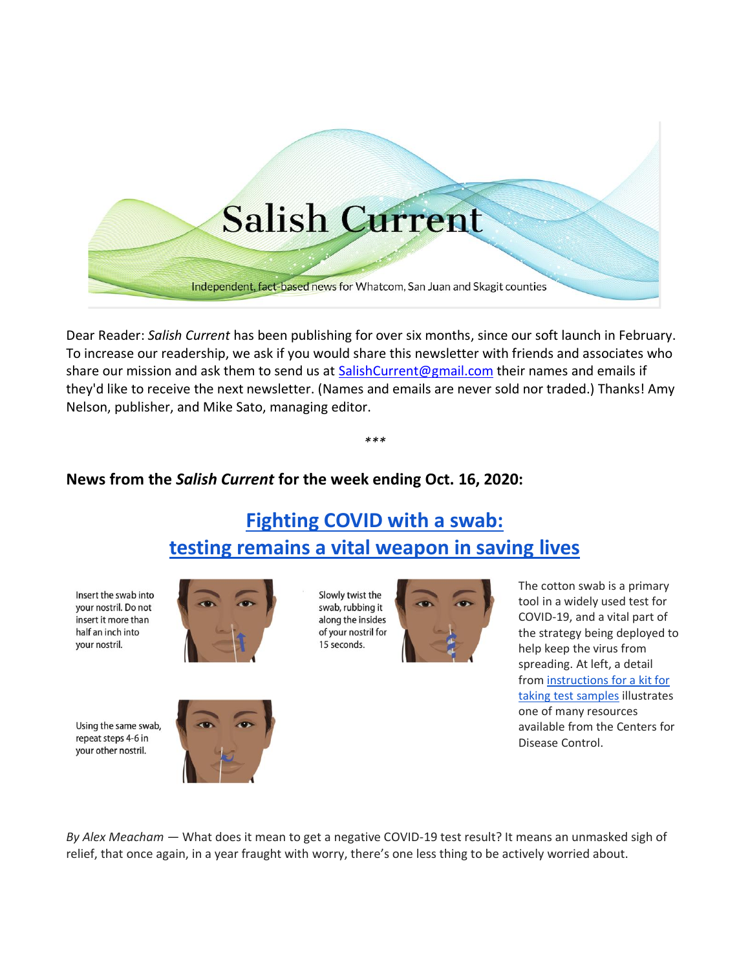

Dear Reader: *Salish Current* has been publishing for over six months, since our soft launch in February. To increase our readership, we ask if you would share this newsletter with friends and associates who share our mission and ask them to send us at [SalishCurrent@gmail.com](mailto:SalishCurrent@gmail.com) their names and emails if they'd like to receive the next newsletter. (Names and emails are never sold nor traded.) Thanks! Amy Nelson, publisher, and Mike Sato, managing editor.

*\*\*\**

## **News from the** *Salish Current* **for the week ending Oct. 16, 2020:**

# **[Fighting COVID with a swab:](https://salish-current.org/2020/10/16/fighting-covid-with-a-swab-testing-remains-a-vital-weapon-in-saving-lives/) [testing remains a vital weapon in saving](https://salish-current.org/2020/10/16/fighting-covid-with-a-swab-testing-remains-a-vital-weapon-in-saving-lives/) lives**

Insert the swab into your nostril. Do not insert it more than half an inch into your nostril.



Slowly twist the swab, rubbing it along the insides of your nostril for 15 seconds.



The cotton swab is a primary tool in a widely used test for COVID-19, and a vital part of the strategy being deployed to help keep the virus from spreading. At left, a detail from [instructions for a kit for](https://www.cdc.gov/coronavirus/2019-ncov/downloads/community/COVID-19-anterior-self-swab-testing-center.pdf)  [taking test samples](https://www.cdc.gov/coronavirus/2019-ncov/downloads/community/COVID-19-anterior-self-swab-testing-center.pdf) illustrates one of many resources available from the Centers for Disease Control.

*By Alex Meacham* — What does it mean to get a negative COVID-19 test result? It means an unmasked sigh of relief, that once again, in a year fraught with worry, there's one less thing to be actively worried about.

Using the same swab, repeat steps 4-6 in your other nostril.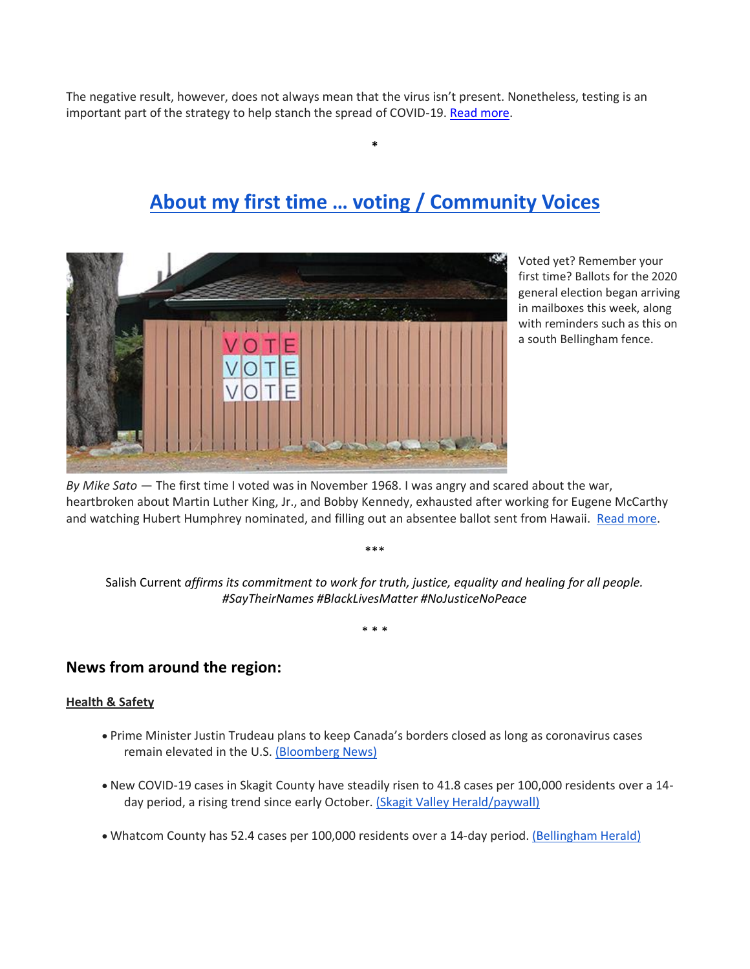The negative result, however, does not always mean that the virus isn't present. Nonetheless, testing is an important part of the strategy to help stanch the spread of COVID-19. [Read more.](https://salish-current.org/2020/10/16/fighting-covid-with-a-swab-testing-remains-a-vital-weapon-in-saving-lives/)

# **[About my first time … voting](https://salish-current.org/2020/10/16/about-my-first-time-voting-community-voices/) / Community Voice[s](https://salish-current.org/2020/10/16/about-my-first-time-voting-community-voices/)**

**\***



Voted yet? Remember your first time? Ballots for the 2020 general election began arriving in mailboxes this week, along with reminders such as this on a south Bellingham fence.

*By Mike Sato* — The first time I voted was in November 1968. I was angry and scared about the war, heartbroken about Martin Luther King, Jr., and Bobby Kennedy, exhausted after working for Eugene McCarthy and watching Hubert Humphrey nominated, and filling out an absentee ballot sent from Hawaii. [Read more.](https://salish-current.org/2020/10/16/about-my-first-time-voting-community-voices/)

Salish Current *affirms its commitment to work for truth, justice, equality and healing for all people. #SayTheirNames #BlackLivesMatter #NoJusticeNoPeace*

\*\*\*

\* \* \*

### **News from around the region:**

### **Health & Safety**

- Prime Minister Justin Trudeau plans to keep Canada's borders closed as long as coronavirus cases remain elevated in the U.S. [\(Bloomberg News\)](https://www.bloomberg.com/news/articles/2020-10-14/trudeau-plans-to-keep-borders-closed-until-covid-19-cases-drop)
- New COVID-19 cases in Skagit County have steadily risen to 41.8 cases per 100,000 residents over a 14 day period, a rising trend since early October. [\(Skagit Valley Herald/paywall\)](https://www.goskagit.com/news/local_news/county-covid-spike-continues/article_d359963f-e2dd-57a9-8daa-a9a5e3c56c0f.html)
- Whatcom County has 52.4 cases per 100,000 residents over a 14-day period. [\(Bellingham Herald\)](https://www.bellinghamherald.com/news/coronavirus/article246487125.html)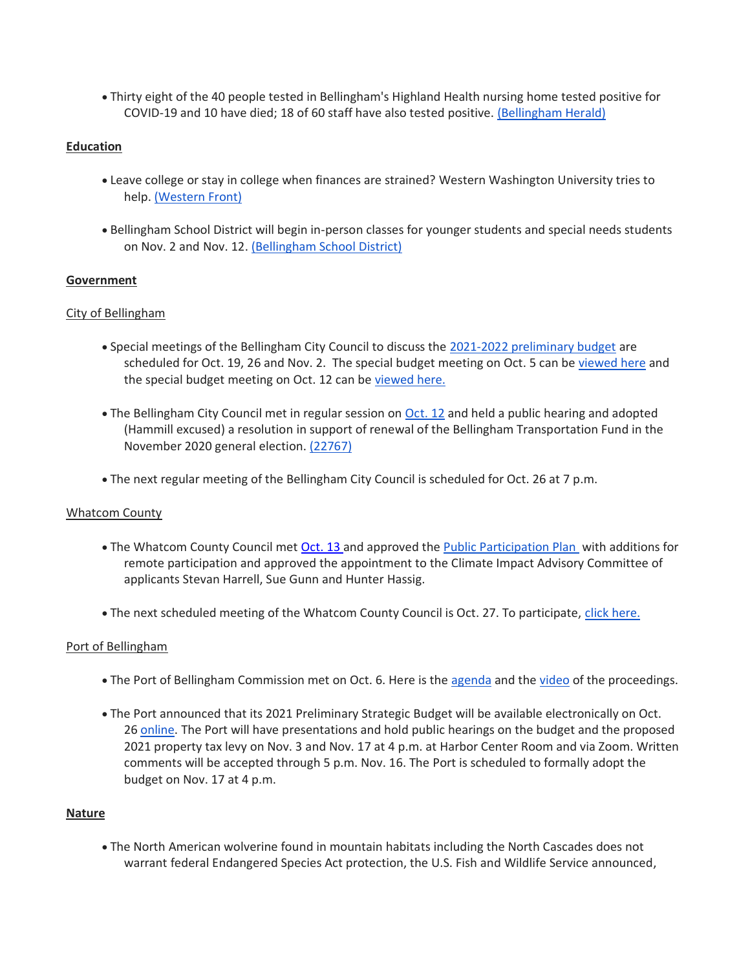• Thirty eight of the 40 people tested in Bellingham's Highland Health nursing home tested positive for COVID-19 and 10 have died; 18 of 60 staff have also tested positive. [\(Bellingham Herald\)](https://www.bellinghamherald.com/news/coronavirus/article246452120.html)

#### **Education**

- Leave college or stay in college when finances are strained? Western Washington University tries to help. [\(Western Front\)](https://www.westernfrontonline.com/2020/10/12/college-affordability/)
- Bellingham School District will begin in-person classes for younger students and special needs students on Nov. 2 and Nov. 12. [\(Bellingham School District\)](https://bellinghamschools.org/news/kindergarten-first-grade-and-elementary-special-education-return-to-school-in-nov-update-on-stages-2-and-3/)

#### **Government**

#### City of Bellingham

- Special meetings of the Bellingham City Council to discuss the [2021-2022 preliminary budget](https://cob.org/wp-content/uploads/2021-22-Preliminary-Budget.pdf) are scheduled for Oct. 19, 26 and Nov. 2. The special budget meeting on Oct. 5 can be [viewed here](https://meetings.cob.org/Meetings/ViewMeeting?id=2339&doctype=1) and the special budget meeting on Oct. 12 can be [viewed here.](https://meetings.cob.org/Meetings/ViewMeeting?id=2343&doctype=1)
- The Bellingham City Council met in regular session on [Oct. 12](https://meetings.cob.org/Meetings/ViewMeeting?id=2290&doctype=3) and held a public hearing and adopted (Hammill excused) a resolution in support of renewal of the Bellingham Transportation Fund in the November 2020 general election. [\(22767\)](https://meetings.cob.org/Documents/ViewDocument/Agenda%20Bill%2022767.pdf?meetingId=2290&documentType=Agenda&itemId=16330&publishId=18038&isSection=false)
- The next regular meeting of the Bellingham City Council is scheduled for Oct. 26 at 7 p.m.

#### Whatcom County

- The Whatcom County Council met [Oct. 13](https://whatcom.legistar.com/View.ashx?M=E2&ID=735053&GUID=473E7E21-C280-4F85-BECD-67A40BA1A510) and approved the [Public Participation Plan](https://whatcom.legistar.com/View.ashx?M=F&ID=8835728&GUID=2D33E109-9871-47C3-BC38-A677DA2FDE21) with additions for remote participation and approved the appointment to the Climate Impact Advisory Committee of applicants Stevan Harrell, Sue Gunn and Hunter Hassig.
- The next scheduled meeting of the Whatcom County Council is Oct. 27. To participate, [click here.](http://www.whatcomcounty.us/3415/Participate-in-Virtual-Council-Meetings)

#### Port of Bellingham

- The Port of Bellingham Commission met on Oct. 6. Here is the [agenda](https://www.portofbellingham.com/AgendaCenter/ViewFile/Agenda/_10062020-452) and the [video](https://www.youtube.com/watch?v=sdfAuKMtSqA) of the proceedings.
- The Port announced that its 2021 Preliminary Strategic Budget will be available electronically on Oct. 26 [online.](https://www.portofbellingham.com/) The Port will have presentations and hold public hearings on the budget and the proposed 2021 property tax levy on Nov. 3 and Nov. 17 at 4 p.m. at Harbor Center Room and via Zoom. Written comments will be accepted through 5 p.m. Nov. 16. The Port is scheduled to formally adopt the budget on Nov. 17 at 4 p.m.

#### **Nature**

• The North American wolverine found in mountain habitats including the North Cascades does not warrant federal Endangered Species Act protection, the U.S. Fish and Wildlife Service announced,